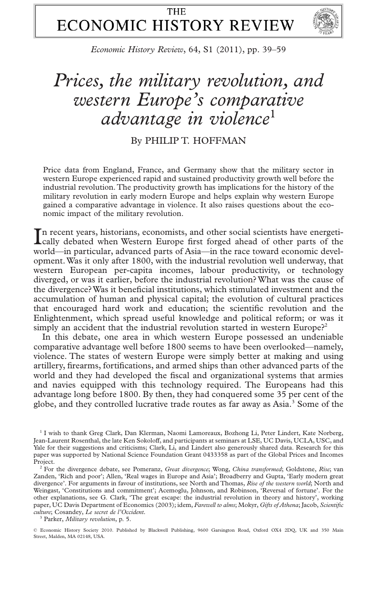# **THE ECONOMIC HISTORY REVIEW**



*Economic History Review*, 64, S1 (2011), pp. 39–59

# *Prices, the military revolution, and western Europe's comparative advantage in violence*<sup>1</sup>

By PHILIP T. HOFFMAN

Price data from England, France, and Germany show that the military sector in western Europe experienced rapid and sustained productivity growth well before the industrial revolution. The productivity growth has implications for the history of the military revolution in early modern Europe and helps explain why western Europe gained a comparative advantage in violence. It also raises questions about the economic impact of the military revolution.

In recent years, historians, economists, and other social scientists have energetically debated when Western Europe first forged ahead of other parts of the cally debated when Western Europe first forged ahead of other parts of the world—in particular, advanced parts of Asia—in the race toward economic development.Was it only after 1800, with the industrial revolution well underway, that western European per-capita incomes, labour productivity, or technology diverged, or was it earlier, before the industrial revolution? What was the cause of the divergence?Was it beneficial institutions, which stimulated investment and the accumulation of human and physical capital; the evolution of cultural practices that encouraged hard work and education; the scientific revolution and the Enlightenment, which spread useful knowledge and political reform; or was it simply an accident that the industrial revolution started in western Europe?<sup>2</sup>

In this debate, one area in which western Europe possessed an undeniable comparative advantage well before 1800 seems to have been overlooked—namely, violence. The states of western Europe were simply better at making and using artillery, firearms, fortifications, and armed ships than other advanced parts of the world and they had developed the fiscal and organizational systems that armies and navies equipped with this technology required. The Europeans had this advantage long before 1800. By then, they had conquered some 35 per cent of the globe, and they controlled lucrative trade routes as far away as  $Asia$ <sup>3</sup> Some of the

<sup>3</sup> Parker, *Military revolution*, p. 5.

<sup>1</sup> I wish to thank Greg Clark, Dan Klerman, Naomi Lamoreaux, Bozhong Li, Peter Lindert, Kate Norberg, Jean-Laurent Rosenthal, the late Ken Sokoloff, and participants at seminars at LSE, UC Davis, UCLA, USC, and Yale for their suggestions and criticisms; Clark, Li, and Lindert also generously shared data. Research for this paper was supported by National Science Foundation Grant 0433358 as part of the Global Prices and Incomes Project.

<sup>2</sup> For the divergence debate, see Pomeranz, *Great divergence*; Wong, *China transformed*; Goldstone, *Rise*; van Zanden, 'Rich and poor'; Allen, 'Real wages in Europe and Asia'; Broadberry and Gupta, 'Early modern great divergence'. For arguments in favour of institutions, see North and Thomas, *Rise of the western world*; North and Weingast, 'Constitutions and commitment'; Acemoglu, Johnson, and Robinson, 'Reversal of fortune'. For the other explanations, see G. Clark, 'The great escape: the industrial revolution in theory and history', working paper, UC Davis Department of Economics (2003); idem, *Farewell to alms*; Mokyr, *Gifts of Athena*; Jacob, *Scientific culture*; Cosandey, *Le secret de l'Occident*.

<sup>©</sup> Economic History Society 2010. Published by Blackwell Publishing, 9600 Garsington Road, Oxford OX4 2DQ, UK and 350 Main Street, Malden, MA 02148, USA.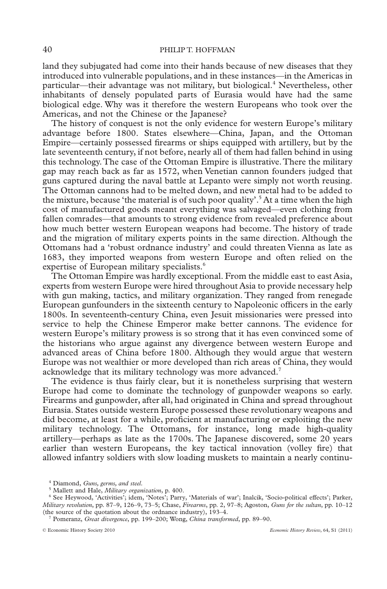land they subjugated had come into their hands because of new diseases that they introduced into vulnerable populations, and in these instances—in the Americas in particular—their advantage was not military, but biological.4 Nevertheless, other inhabitants of densely populated parts of Eurasia would have had the same biological edge. Why was it therefore the western Europeans who took over the Americas, and not the Chinese or the Japanese?

The history of conquest is not the only evidence for western Europe's military advantage before 1800. States elsewhere—China, Japan, and the Ottoman Empire—certainly possessed firearms or ships equipped with artillery, but by the late seventeenth century, if not before, nearly all of them had fallen behind in using this technology.The case of the Ottoman Empire is illustrative.There the military gap may reach back as far as 1572, when Venetian cannon founders judged that guns captured during the naval battle at Lepanto were simply not worth reusing. The Ottoman cannons had to be melted down, and new metal had to be added to the mixture, because 'the material is of such poor quality'.<sup>5</sup> At a time when the high cost of manufactured goods meant everything was salvaged—even clothing from fallen comrades—that amounts to strong evidence from revealed preference about how much better western European weapons had become. The history of trade and the migration of military experts points in the same direction. Although the Ottomans had a 'robust ordnance industry' and could threaten Vienna as late as 1683, they imported weapons from western Europe and often relied on the expertise of European military specialists.<sup>6</sup>

The Ottoman Empire was hardly exceptional. From the middle east to east Asia, experts from western Europe were hired throughout Asia to provide necessary help with gun making, tactics, and military organization. They ranged from renegade European gunfounders in the sixteenth century to Napoleonic officers in the early 1800s. In seventeenth-century China, even Jesuit missionaries were pressed into service to help the Chinese Emperor make better cannons. The evidence for western Europe's military prowess is so strong that it has even convinced some of the historians who argue against any divergence between western Europe and advanced areas of China before 1800. Although they would argue that western Europe was not wealthier or more developed than rich areas of China, they would acknowledge that its military technology was more advanced.<sup>7</sup>

The evidence is thus fairly clear, but it is nonetheless surprising that western Europe had come to dominate the technology of gunpowder weapons so early. Firearms and gunpowder, after all, had originated in China and spread throughout Eurasia. States outside western Europe possessed these revolutionary weapons and did become, at least for a while, proficient at manufacturing or exploiting the new military technology. The Ottomans, for instance, long made high-quality artillery—perhaps as late as the 1700s. The Japanese discovered, some 20 years earlier than western Europeans, the key tactical innovation (volley fire) that allowed infantry soldiers with slow loading muskets to maintain a nearly continu-

<sup>4</sup> Diamond, *Guns, germs, and steel*.

<sup>5</sup> Mallett and Hale, *Military organization*, p. 400.

<sup>6</sup> See Heywood, 'Activities'; idem, 'Notes'; Parry, 'Materials of war'; Inalcik, 'Socio-political effects'; Parker, *Military revolution*, pp. 87–9, 126–9, 73–5; Chase, *Firearms*, pp. 2, 97–8; Agoston, *Guns for the sultan*, pp. 10–12 (the source of the quotation about the ordnance industry), 193–4.

<sup>7</sup> Pomeranz, *Great divergence*, pp. 199–200; Wong, *China transformed*, pp. 89–90.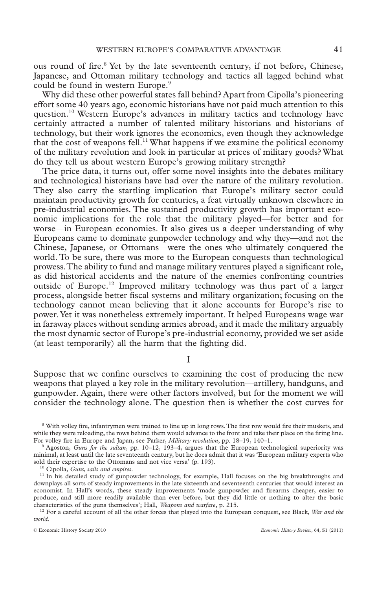ous round of fire.<sup>8</sup> Yet by the late seventeenth century, if not before, Chinese, Japanese, and Ottoman military technology and tactics all lagged behind what could be found in western Europe.<sup>9</sup>

Why did these other powerful states fall behind? Apart from Cipolla's pioneering effort some 40 years ago, economic historians have not paid much attention to this question.10 Western Europe's advances in military tactics and technology have certainly attracted a number of talented military historians and historians of technology, but their work ignores the economics, even though they acknowledge that the cost of weapons fell.<sup>11</sup> What happens if we examine the political economy of the military revolution and look in particular at prices of military goods? What do they tell us about western Europe's growing military strength?

The price data, it turns out, offer some novel insights into the debates military and technological historians have had over the nature of the military revolution. They also carry the startling implication that Europe's military sector could maintain productivity growth for centuries, a feat virtually unknown elsewhere in pre-industrial economies. The sustained productivity growth has important economic implications for the role that the military played—for better and for worse—in European economies. It also gives us a deeper understanding of why Europeans came to dominate gunpowder technology and why they—and not the Chinese, Japanese, or Ottomans—were the ones who ultimately conquered the world. To be sure, there was more to the European conquests than technological prowess.The ability to fund and manage military ventures played a significant role, as did historical accidents and the nature of the enemies confronting countries outside of Europe.<sup>12</sup> Improved military technology was thus part of a larger process, alongside better fiscal systems and military organization; focusing on the technology cannot mean believing that it alone accounts for Europe's rise to power.Yet it was nonetheless extremely important. It helped Europeans wage war in faraway places without sending armies abroad, and it made the military arguably the most dynamic sector of Europe's pre-industrial economy, provided we set aside (at least temporarily) all the harm that the fighting did.

I

Suppose that we confine ourselves to examining the cost of producing the new weapons that played a key role in the military revolution—artillery, handguns, and gunpowder. Again, there were other factors involved, but for the moment we will consider the technology alone. The question then is whether the cost curves for

<sup>8</sup> With volley fire, infantrymen were trained to line up in long rows.The first row would fire their muskets, and while they were reloading, the rows behind them would advance to the front and take their place on the firing line. For volley fire in Europe and Japan, see Parker, *Military revolution*, pp. 18–19, 140–1.

<sup>9</sup> Agoston, *Guns for the sultan*, pp. 10–12, 193–4, argues that the European technological superiority was minimal, at least until the late seventeenth century, but he does admit that it was 'European military experts who sold their expertise to the Ottomans and not vice versa' (p. 193).

<sup>10</sup> Cipolla, *Guns, sails and empires*.

<sup>11</sup> In his detailed study of gunpowder technology, for example, Hall focuses on the big breakthroughs and downplays all sorts of steady improvements in the late sixteenth and seventeenth centuries that would interest an economist. In Hall's words, these steady improvements 'made gunpowder and firearms cheaper, easier to produce, and still more readily available than ever before, but they did little or nothing to alter the basic characteristics of the guns themselves'; Hall, *Weapons and warfare*, p. 215.

<sup>12</sup> For a careful account of all the other forces that played into the European conquest, see Black, *War and the world*.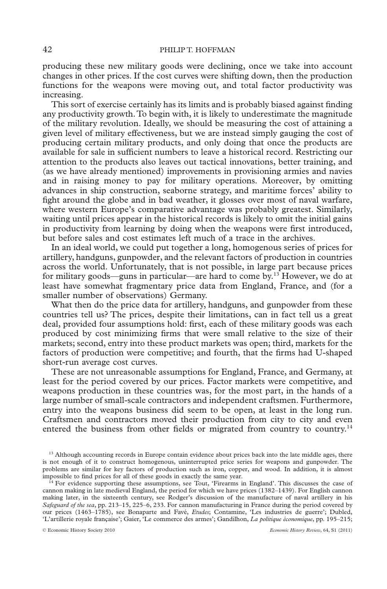#### 42 PHILIP T. HOFFMAN

producing these new military goods were declining, once we take into account changes in other prices. If the cost curves were shifting down, then the production functions for the weapons were moving out, and total factor productivity was increasing.

This sort of exercise certainly has its limits and is probably biased against finding any productivity growth.To begin with, it is likely to underestimate the magnitude of the military revolution. Ideally, we should be measuring the cost of attaining a given level of military effectiveness, but we are instead simply gauging the cost of producing certain military products, and only doing that once the products are available for sale in sufficient numbers to leave a historical record. Restricting our attention to the products also leaves out tactical innovations, better training, and (as we have already mentioned) improvements in provisioning armies and navies and in raising money to pay for military operations. Moreover, by omitting advances in ship construction, seaborne strategy, and maritime forces' ability to fight around the globe and in bad weather, it glosses over most of naval warfare, where western Europe's comparative advantage was probably greatest. Similarly, waiting until prices appear in the historical records is likely to omit the initial gains in productivity from learning by doing when the weapons were first introduced, but before sales and cost estimates left much of a trace in the archives.

In an ideal world, we could put together a long, homogenous series of prices for artillery, handguns, gunpowder, and the relevant factors of production in countries across the world. Unfortunately, that is not possible, in large part because prices for military goods—guns in particular—are hard to come by.<sup>13</sup> However, we do at least have somewhat fragmentary price data from England, France, and (for a smaller number of observations) Germany.

What then do the price data for artillery, handguns, and gunpowder from these countries tell us? The prices, despite their limitations, can in fact tell us a great deal, provided four assumptions hold: first, each of these military goods was each produced by cost minimizing firms that were small relative to the size of their markets; second, entry into these product markets was open; third, markets for the factors of production were competitive; and fourth, that the firms had U-shaped short-run average cost curves.

These are not unreasonable assumptions for England, France, and Germany, at least for the period covered by our prices. Factor markets were competitive, and weapons production in these countries was, for the most part, in the hands of a large number of small-scale contractors and independent craftsmen. Furthermore, entry into the weapons business did seem to be open, at least in the long run. Craftsmen and contractors moved their production from city to city and even entered the business from other fields or migrated from country to country.<sup>14</sup>

<sup>&</sup>lt;sup>13</sup> Although accounting records in Europe contain evidence about prices back into the late middle ages, there is not enough of it to construct homogenous, uninterrupted price series for weapons and gunpowder. The problems are similar for key factors of production such as iron, copper, and wood. In addition, it is almost impossible to find prices for all of these goods in exactly the same year.

<sup>&</sup>lt;sup>14</sup> For evidence supporting these assumptions, see Tout, 'Firearms in England'. This discusses the case of cannon making in late medieval England, the period for which we have prices (1382–1439). For English cannon making later, in the sixteenth century, see Rodger's discussion of the manufacture of naval artillery in his *Safeguard of the sea*, pp. 213–15, 225–6, 233. For cannon manufacturing in France during the period covered by our prices (1463–1785), see Bonaparte and Favé, *Etudes*; Contamine, 'Les industries de guerre'; Dubled, 'L'artillerie royale française'; Gaier, 'Le commerce des armes'; Gandilhon, *La politique économique*, pp. 195–215;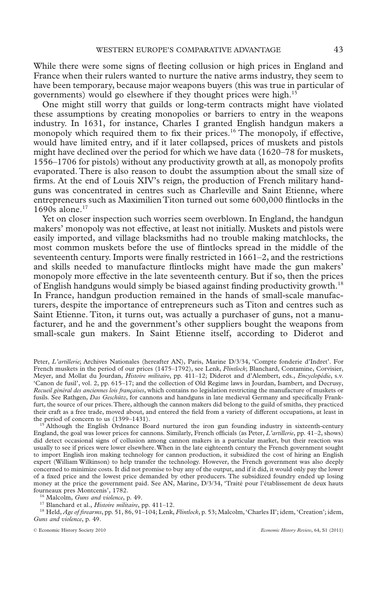While there were some signs of fleeting collusion or high prices in England and France when their rulers wanted to nurture the native arms industry, they seem to have been temporary, because major weapons buyers (this was true in particular of governments) would go elsewhere if they thought prices were high.15

One might still worry that guilds or long-term contracts might have violated these assumptions by creating monopolies or barriers to entry in the weapons industry. In 1631, for instance, Charles I granted English handgun makers a monopoly which required them to fix their prices.<sup>16</sup> The monopoly, if effective, would have limited entry, and if it later collapsed, prices of muskets and pistols might have declined over the period for which we have data (1620–78 for muskets, 1556–1706 for pistols) without any productivity growth at all, as monopoly profits evaporated. There is also reason to doubt the assumption about the small size of firms. At the end of Louis XIV's reign, the production of French military handguns was concentrated in centres such as Charleville and Saint Etienne, where entrepreneurs such as Maximilien Titon turned out some 600,000 flintlocks in the 1690s alone.<sup>17</sup>

Yet on closer inspection such worries seem overblown. In England, the handgun makers' monopoly was not effective, at least not initially. Muskets and pistols were easily imported, and village blacksmiths had no trouble making matchlocks, the most common muskets before the use of flintlocks spread in the middle of the seventeenth century. Imports were finally restricted in 1661–2, and the restrictions and skills needed to manufacture flintlocks might have made the gun makers' monopoly more effective in the late seventeenth century. But if so, then the prices of English handguns would simply be biased against finding productivity growth.<sup>18</sup> In France, handgun production remained in the hands of small-scale manufacturers, despite the importance of entrepreneurs such as Titon and centres such as Saint Etienne. Titon, it turns out, was actually a purchaser of guns, not a manufacturer, and he and the government's other suppliers bought the weapons from small-scale gun makers. In Saint Etienne itself, according to Diderot and

Peter, *L'artillerie*; Archives Nationales (hereafter AN), Paris, Marine D/3/34, 'Compte fonderie d'Indret'. For French muskets in the period of our prices (1475–1792), see Lenk, *Flintlock*; Blanchard, Contamine, Corvisier, Meyer, and Mollat du Jourdan, *Histoire militaire*, pp. 411–12; Diderot and d'Alembert, eds., *Encyclopédie*, s.v. 'Canon de fusil', vol. 2, pp. 615–17; and the collection of Old Regime laws in Jourdan, Isambert, and Decrusy, *Recueil général des anciennes lois françaises*, which contains no legislation restricting the manufacture of muskets or fusils. See Rathgen, *Das Geschütz*, for cannons and handguns in late medieval Germany and specifically Frankfurt, the source of our prices.There, although the cannon makers did belong to the guild of smiths, they practiced their craft as a free trade, moved about, and entered the field from a variety of different occupations, at least in the period of concern to us (1399–1431).

<sup>15</sup> Although the English Ordnance Board nurtured the iron gun founding industry in sixteenth-century England, the goal was lower prices for cannons. Similarly, French officials (as Peter, *L'artillerie*, pp. 41–2, shows) did detect occasional signs of collusion among cannon makers in a particular market, but their reaction was usually to see if prices were lower elsewhere.When in the late eighteenth century the French government sought to import English iron making technology for cannon production, it subsidized the cost of hiring an English expert (William Wilkinson) to help transfer the technology. However, the French government was also deeply concerned to minimize costs. It did not promise to buy any of the output, and if it did, it would only pay the lower of a fixed price and the lowest price demanded by other producers. The subsidized foundry ended up losing money at the price the government paid. See AN, Marine, D/3/34, 'Traité pour l'établissement de deux hauts fourneaux pres Montcenis', 1782.

<sup>16</sup> Malcolm, *Guns and violence*, p. 49.

<sup>17</sup> Blanchard et al., *Histoire militaire*, pp. 411–12.

<sup>18</sup> Held, *Age of firearms*, pp. 51, 86, 91–104; Lenk, *Flintlock*, p. 53; Malcolm, 'Charles II'; idem, 'Creation'; idem, *Guns and violence*, p. 49.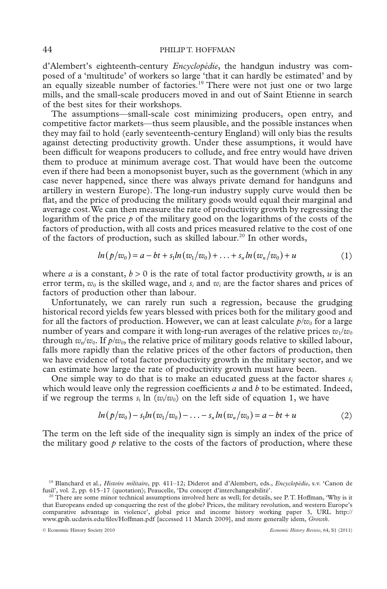d'Alembert's eighteenth-century *Encyclopédie*, the handgun industry was composed of a 'multitude' of workers so large 'that it can hardly be estimated' and by an equally sizeable number of factories.19 There were not just one or two large mills, and the small-scale producers moved in and out of Saint Etienne in search of the best sites for their workshops.

The assumptions—small-scale cost minimizing producers, open entry, and competitive factor markets—thus seem plausible, and the possible instances when they may fail to hold (early seventeenth-century England) will only bias the results against detecting productivity growth. Under these assumptions, it would have been difficult for weapons producers to collude, and free entry would have driven them to produce at minimum average cost. That would have been the outcome even if there had been a monopsonist buyer, such as the government (which in any case never happened, since there was always private demand for handguns and artillery in western Europe). The long-run industry supply curve would then be flat, and the price of producing the military goods would equal their marginal and average cost.We can then measure the rate of productivity growth by regressing the logarithm of the price *p* of the military good on the logarithms of the costs of the factors of production, with all costs and prices measured relative to the cost of one of the factors of production, such as skilled labour.<sup>20</sup> In other words,

$$
ln (p/w_0) = a - bt + s_1 ln (w_1/w_0) + ... + s_n ln (w_n/w_0) + u
$$
 (1)

where *a* is a constant,  $b > 0$  is the rate of total factor productivity growth, *u* is an error term,  $w_0$  is the skilled wage, and  $s_i$  and  $w_i$  are the factor shares and prices of factors of production other than labour.

Unfortunately, we can rarely run such a regression, because the grudging historical record yields few years blessed with prices both for the military good and for all the factors of production. However, we can at least calculate  $p/w_0$  for a large number of years and compare it with long-run averages of the relative prices  $w_1/w_0$ through  $w_n/w_0$ . If  $p/w_0$ , the relative price of military goods relative to skilled labour, falls more rapidly than the relative prices of the other factors of production, then we have evidence of total factor productivity growth in the military sector, and we can estimate how large the rate of productivity growth must have been.

One simple way to do that is to make an educated guess at the factor shares *si* which would leave only the regression coefficients *a* and *b* to be estimated. Indeed, if we regroup the terms  $s_i$  ln  $(w_i/w_0)$  on the left side of equation 1, we have

$$
ln(p/w_0) - s_1 ln(w_1/w_0) - \ldots - s_n ln(w_n/w_0) = a - bt + u \tag{2}
$$

The term on the left side of the inequality sign is simply an index of the price of the military good  $p$  relative to the costs of the factors of production, where these

<sup>19</sup> Blanchard et al., *Histoire militaire*, pp. 411–12; Diderot and d'Alembert, eds., *Encyclopédie*, s.v. 'Canon de fusil', vol. 2, pp. 615–17 (quotation); Peaucelle, 'Du concept d'interchangeabilité'.

 $20$  There are some minor technical assumptions involved here as well; for details, see P. T. Hoffman, 'Why is it that Europeans ended up conquering the rest of the globe? Prices, the military revolution, and western Europe's comparative advantage in violence', global price and income history working paper 3, URL http:// www.gpih.ucdavis.edu/files/Hoffman.pdf [accessed 11 March 2009], and more generally idem, *Growth*.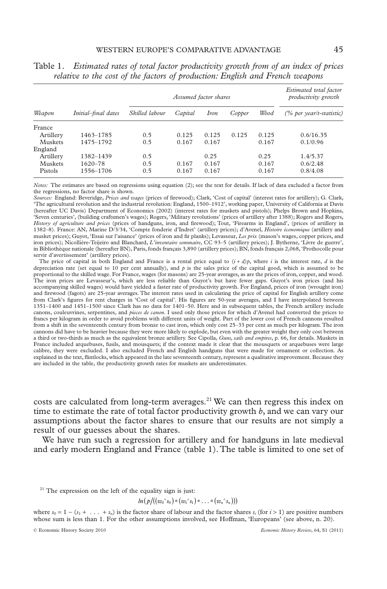|                |                            |                | Estimated total factor<br>productivity growth |             |        |       |                          |
|----------------|----------------------------|----------------|-----------------------------------------------|-------------|--------|-------|--------------------------|
| Weapon         | <i>Initial–final dates</i> | Skilled labour | Capital                                       | <i>Iron</i> | Copper | Wood  | (% per year/t-statistic) |
| France         |                            |                |                                               |             |        |       |                          |
| Artillery      | 1463-1785                  | 0.5            | 0.125                                         | 0.125       | 0.125  | 0.125 | 0.6/16.35                |
| <b>Muskets</b> | 1475-1792                  | 0.5            | 0.167                                         | 0.167       |        | 0.167 | 0.1/0.96                 |
| England        |                            |                |                                               |             |        |       |                          |
| Artillery      | 1382-1439                  | 0.5            |                                               | 0.25        |        | 0.25  | 1.4/5.37                 |
| <b>Muskets</b> | 1620-78                    | 0.5            | 0.167                                         | 0.167       |        | 0.167 | 0.6/2.48                 |
| Pistols        | 1556-1706                  | 0.5            | 0.167                                         | 0.167       |        | 0.167 | 0.8/4.08                 |

| Table 1. Estimated rates of total factor productivity growth from of an index of prices |  |  |  |  |
|-----------------------------------------------------------------------------------------|--|--|--|--|
| relative to the cost of the factors of production: English and French weapons           |  |  |  |  |

*Notes:* The estimates are based on regressions using equation (2); see the text for details. If lack of data excluded a factor from the regressions, no factor share is shown.

*Sources:* England: Beveridge, *Prices and wages* (prices of firewood); Clark, 'Cost of capital' (interest rates for artillery); G. Clark, 'The agricultural revolution and the industrial revolution: England, 1500–1912', working paper, University of California at Davis (hereafter UC Davis) Department of Economics (2002) (interest rates for muskets and pistols); Phelps Brown and Hopkins, 'Seven centuries', (building craftsmen's wages); Rogers, 'Military revolutions' (prices of artillery after 1388); Rogers and Rogers, *History of agriculture and prices* (prices of handguns, iron, and firewood); Tout, 'Firearms in England', (prices of artillery in 1382–8). France: AN, Marine D/3/34, 'Compte fonderie d'Indret' (artillery prices); d'Avenel, *Histoire économique* (artillery and musket prices); Guyot, 'Essai sur l'aisance' (prices of iron and fir planks); Levasseur, *Les prix* (mason's wages, copper prices, and iron prices); Nicollière-Teijeiro and Blanchard, *L'inventaire sommaire*, CC 93–5 (artillery prices); J. Bytherne, 'Livre de guerre', in Bibliothèque nationale (hereafter BN), Paris, fonds français 3,890 (artillery prices); BN, fonds français 2,068,'Prothocolle pour servir d'avertissement' (artillery prices).

The price of capital in both England and France is a rental price equal to  $(i + d)p$ , where *i* is the interest rate, *d* is the depreciation rate (set equal to 10 per cent annually), and  $p$  is the sales price of the capital good, which is assumed to be proportional to the skilled wage. For France, wages (for masons) are 25-year averages, as are the prices of iron, copper, and wood. The iron prices are Levasseur's, which are less reliable than Guyot's but have fewer gaps. Guyot's iron prices (and his accompanying skilled wages) would have yielded a faster rate of productivity growth. For England, prices of iron (wrought iron) and firewood (fagots) are 25-year averages. The interest rates used in calculating the price of capital for English artillery come from Clark's figures for rent charges in 'Cost of capital'. His figures are 50-year averages, and I have interpolated between 1351–1400 and 1451–1500 since Clark has no data for 1401–50. Here and in subsequent tables, the French artillery include canons, couleuvrines, serpentines, and *pieces de canon*. I used only those prices for which d'Avenel had converted the prices to francs per kilogram in order to avoid problems with different units of weight. Part of the lower cost of French cannons resulted from a shift in the seventeenth century from bronze to cast iron, which only cost 25–33 per cent as much per kilogram.The iron cannons did have to be heavier because they were more likely to explode, but even with the greater weight they only cost between a third or two-thirds as much as the equivalent bronze artillery. See Cipolla, *Guns, sails and empires*, p. 66, for details. Muskets in France included arquebuses, fusils, and mousquets; if the context made it clear that the mousquets or arquebuses were large calibre, they were excluded. I also excluded French and English handguns that were made for ornament or collection. As explained in the text, flintlocks, which appeared in the late seventeenth century, represent a qualitative improvement. Because they are included in the table, the productivity growth rates for muskets are underestimates.

costs are calculated from long-term averages.<sup>21</sup> We can then regress this index on time to estimate the rate of total factor productivity growth *b*, and we can vary our assumptions about the factor shares to ensure that our results are not simply a result of our guesses about the shares.

We have run such a regression for artillery and for handguns in late medieval and early modern England and France (table 1).The table is limited to one set of

 $21$  The expression on the left of the equality sign is just:

$$
\ln\bigl(p/((w_0\char' \hspace{-1pt}\cdot \hspace{-1pt} s_0)\ast (w_1\char' \hspace{-1pt}\cdot \hspace{-1pt} s_1)\ast \ldots \ast (w_n\char' \hspace{-1pt}\cdot \hspace{-1pt} s_n))\bigr)
$$

where  $s_0 = 1 - (s_1 + \ldots + s_n)$  is the factor share of labour and the factor shares  $s_i$  (for  $i > 1$ ) are positive numbers whose sum is less than 1. For the other assumptions involved, see Hoffman, 'Europeans' (see above, n. 20).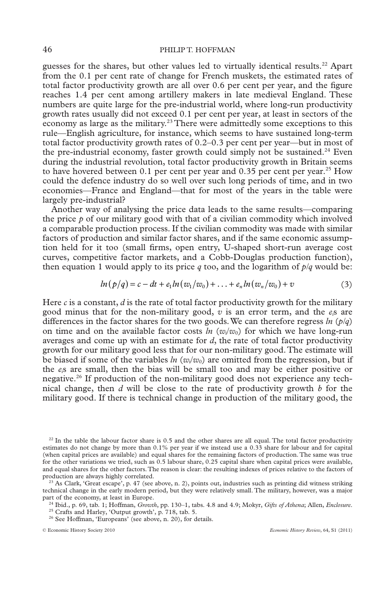guesses for the shares, but other values led to virtually identical results.<sup>22</sup> Apart from the 0.1 per cent rate of change for French muskets, the estimated rates of total factor productivity growth are all over 0.6 per cent per year, and the figure reaches 1.4 per cent among artillery makers in late medieval England. These numbers are quite large for the pre-industrial world, where long-run productivity growth rates usually did not exceed 0.1 per cent per year, at least in sectors of the economy as large as the military.<sup>23</sup> There were admittedly some exceptions to this rule—English agriculture, for instance, which seems to have sustained long-term total factor productivity growth rates of 0.2–0.3 per cent per year—but in most of the pre-industrial economy, faster growth could simply not be sustained.<sup>24</sup> Even during the industrial revolution, total factor productivity growth in Britain seems to have hovered between 0.1 per cent per year and 0.35 per cent per year.<sup>25</sup> How could the defence industry do so well over such long periods of time, and in two economies—France and England—that for most of the years in the table were largely pre-industrial?

Another way of analysing the price data leads to the same results—comparing the price  $p$  of our military good with that of a civilian commodity which involved a comparable production process. If the civilian commodity was made with similar factors of production and similar factor shares, and if the same economic assumption held for it too (small firms, open entry, U-shaped short-run average cost curves, competitive factor markets, and a Cobb-Douglas production function), then equation 1 would apply to its price  $q$  too, and the logarithm of  $p/q$  would be:

$$
ln(p/q) = c - dt + e_1 ln(w_1/w_0) + ... + e_n ln(w_n/w_0) + v \tag{3}
$$

Here *c* is a constant, *d* is the rate of total factor productivity growth for the military good minus that for the non-military good,  $v$  is an error term, and the  $e$ <sub>s</sub> are differences in the factor shares for the two goods.We can therefore regress *ln* (*p/q*) on time and on the available factor costs  $ln (w/w_0)$  for which we have long-run averages and come up with an estimate for *d*, the rate of total factor productivity growth for our military good less that for our non-military good.The estimate will be biased if some of the variables  $ln (w_i/w_0)$  are omitted from the regression, but if the *ei*s are small, then the bias will be small too and may be either positive or negative.26 If production of the non-military good does not experience any technical change, then *d* will be close to the rate of productivity growth *b* for the military good. If there is technical change in production of the military good, the

 $22$  In the table the labour factor share is 0.5 and the other shares are all equal. The total factor productivity estimates do not change by more than 0.1% per year if we instead use a 0.33 share for labour and for capital (when capital prices are available) and equal shares for the remaining factors of production. The same was true for the other variations we tried, such as 0.5 labour share, 0.25 capital share when capital prices were available, and equal shares for the other factors.The reason is clear: the resulting indexes of prices relative to the factors of production are always highly correlated.

 $23$  As Clark, 'Great escape', p. 47 (see above, n. 2), points out, industries such as printing did witness striking technical change in the early modern period, but they were relatively small. The military, however, was a major part of the economy, at least in Europe.

<sup>24</sup> Ibid., p. 69, tab. 1; Hoffman, *Growth*, pp. 130–1, tabs. 4.8 and 4.9; Mokyr, *Gifts of Athena*; Allen, *Enclosure*.

<sup>25</sup> Crafts and Harley, 'Output growth', p. 718, tab. 5.

<sup>&</sup>lt;sup>26</sup> See Hoffman, 'Europeans' (see above, n. 20), for details.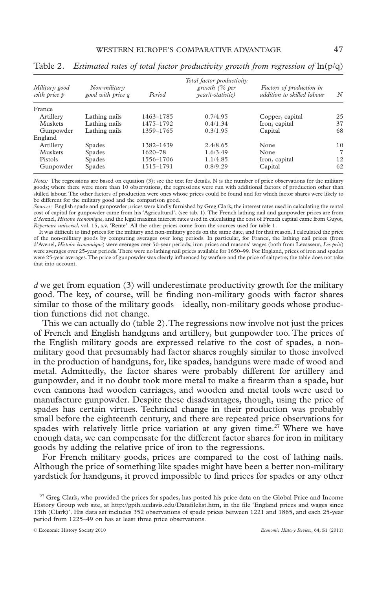| Military good<br>with price p | Non-military<br>good with price q | Total factor productivity<br>growth $(\%$ per<br><i>vear/t-statistic)</i><br>Period |          | Factors of production in<br>addition to skilled labour | N  |
|-------------------------------|-----------------------------------|-------------------------------------------------------------------------------------|----------|--------------------------------------------------------|----|
| France                        |                                   |                                                                                     |          |                                                        |    |
| Artillery                     | Lathing nails                     | 1463-1785                                                                           | 0.7/4.95 | Copper, capital                                        | 25 |
| <b>Muskets</b>                | Lathing nails                     | 1475-1792                                                                           | 0.4/1.34 | Iron, capital                                          | 37 |
| Gunpowder                     | Lathing nails                     | 1359-1765                                                                           | 0.3/1.95 | Capital                                                | 68 |
| England                       |                                   |                                                                                     |          |                                                        |    |
| Artillery                     | Spades                            | 1382–1439                                                                           | 2.4/8.65 | None                                                   | 10 |
| <b>Muskets</b>                | Spades                            | 1620-78                                                                             | 1.6/3.49 | None                                                   | 7  |
| Pistols                       | Spades                            | 1556-1706                                                                           | 1.1/4.85 | Iron, capital                                          | 12 |
| Gunpowder                     | Spades                            | 1515-1791                                                                           | 0.8/9.29 | Capital                                                | 62 |

Table 2. *Estimated rates of total factor productivity growth from regression of* ln(p/q)

*Notes:* The regressions are based on equation (3); see the text for details. N is the number of price observations for the military goods; where there were more than 10 observations, the regressions were run with additional factors of production other than skilled labour. The other factors of production were ones whose prices could be found and for which factor shares were likely to be different for the military good and the comparison good.

*Sources:* English spade and gunpowder prices were kindly furnished by Greg Clark; the interest rates used in calculating the rental cost of capital for gunpowder came from his 'Agricultural', (see tab. 1). The French lathing nail and gunpowder prices are from d'Avenel, *Histoire économique*, and the legal maxima interest rates used in calculating the cost of French capital came from Guyot, *Répertoire universel*, vol. 15, s.v. 'Rente'. All the other prices come from the sources used for table 1.

It was difficult to find prices for the military and non-military goods on the same date, and for that reason, I calculated the price of the non-military goods by computing averages over long periods. In particular, for France, the lathing nail prices (from d'Avenel, *Histoire économique*) were averages over 50-year periods; iron prices and masons' wages (both from Levasseur, *Les prix*) were averages over 25-year periods.There were no lathing nail prices available for 1650–99. For England, prices of iron and spades were 25-year averages.The price of gunpowder was clearly influenced by warfare and the price of saltpetre; the table does not take that into account.

*d* we get from equation (3) will underestimate productivity growth for the military good. The key, of course, will be finding non-military goods with factor shares similar to those of the military goods—ideally, non-military goods whose production functions did not change.

This we can actually do (table 2).The regressions now involve not just the prices of French and English handguns and artillery, but gunpowder too. The prices of the English military goods are expressed relative to the cost of spades, a nonmilitary good that presumably had factor shares roughly similar to those involved in the production of handguns, for, like spades, handguns were made of wood and metal. Admittedly, the factor shares were probably different for artillery and gunpowder, and it no doubt took more metal to make a firearm than a spade, but even cannons had wooden carriages, and wooden and metal tools were used to manufacture gunpowder. Despite these disadvantages, though, using the price of spades has certain virtues. Technical change in their production was probably small before the eighteenth century, and there are repeated price observations for spades with relatively little price variation at any given time.<sup>27</sup> Where we have enough data, we can compensate for the different factor shares for iron in military goods by adding the relative price of iron to the regressions.

For French military goods, prices are compared to the cost of lathing nails. Although the price of something like spades might have been a better non-military yardstick for handguns, it proved impossible to find prices for spades or any other

<sup>&</sup>lt;sup>27</sup> Greg Clark, who provided the prices for spades, has posted his price data on the Global Price and Income History Group web site, at http://gpih.ucdavis.edu/Datafilelist.htm, in the file 'England prices and wages since 13th (Clark)'. His data set includes 352 observations of spade prices between 1221 and 1865, and each 25-year period from 1225–49 on has at least three price observations.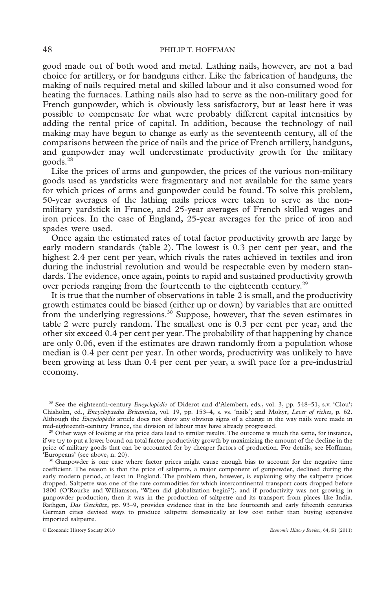good made out of both wood and metal. Lathing nails, however, are not a bad choice for artillery, or for handguns either. Like the fabrication of handguns, the making of nails required metal and skilled labour and it also consumed wood for heating the furnaces. Lathing nails also had to serve as the non-military good for French gunpowder, which is obviously less satisfactory, but at least here it was possible to compensate for what were probably different capital intensities by adding the rental price of capital. In addition, because the technology of nail making may have begun to change as early as the seventeenth century, all of the comparisons between the price of nails and the price of French artillery, handguns, and gunpowder may well underestimate productivity growth for the military  $\text{goods.}^{28}$ 

Like the prices of arms and gunpowder, the prices of the various non-military goods used as yardsticks were fragmentary and not available for the same years for which prices of arms and gunpowder could be found. To solve this problem, 50-year averages of the lathing nails prices were taken to serve as the nonmilitary yardstick in France, and 25-year averages of French skilled wages and iron prices. In the case of England, 25-year averages for the price of iron and spades were used.

Once again the estimated rates of total factor productivity growth are large by early modern standards (table 2). The lowest is 0.3 per cent per year, and the highest 2.4 per cent per year, which rivals the rates achieved in textiles and iron during the industrial revolution and would be respectable even by modern standards.The evidence, once again, points to rapid and sustained productivity growth over periods ranging from the fourteenth to the eighteenth century.<sup>29</sup>

It is true that the number of observations in table 2 is small, and the productivity growth estimates could be biased (either up or down) by variables that are omitted from the underlying regressions.<sup>30</sup> Suppose, however, that the seven estimates in table 2 were purely random. The smallest one is 0.3 per cent per year, and the other six exceed 0.4 per cent per year.The probability of that happening by chance are only 0.06, even if the estimates are drawn randomly from a population whose median is 0.4 per cent per year. In other words, productivity was unlikely to have been growing at less than 0.4 per cent per year, a swift pace for a pre-industrial economy.

<sup>28</sup> See the eighteenth-century *Encyclopédie* of Diderot and d'Alembert, eds., vol. 3, pp. 548–51, s.v. 'Clou'; Chisholm, ed., *Encyclopaedia Britannica*, vol. 19, pp. 153–4, s. vs. 'nails'; and Mokyr, *Lever of riches*, p. 62. Although the *Encyclopédie* article does not show any obvious signs of a change in the way nails were made in mid-eighteenth-century France, the division of labour may have already progressed.

 $^{29}$  Other ways of looking at the price data lead to similar results. The outcome is much the same, for instance, if we try to put a lower bound on total factor productivity growth by maximizing the amount of the decline in the price of military goods that can be accounted for by cheaper factors of production. For details, see Hoffman, 'Europeans' (see above, n. 20).

<sup>&</sup>lt;sup>30</sup> Gunpowder is one case where factor prices might cause enough bias to account for the negative time coefficient. The reason is that the price of saltpetre, a major component of gunpowder, declined during the early modern period, at least in England. The problem then, however, is explaining why the saltpetre prices dropped. Saltpetre was one of the rare commodities for which intercontinental transport costs dropped before 1800 (O'Rourke and Williamson, 'When did globalization begin?'), and if productivity was not growing in gunpowder production, then it was in the production of saltpetre and its transport from places like India. Rathgen, *Das Geschütz*, pp. 93–9, provides evidence that in the late fourteenth and early fifteenth centuries German cities devised ways to produce saltpetre domestically at low cost rather than buying expensive imported saltpetre.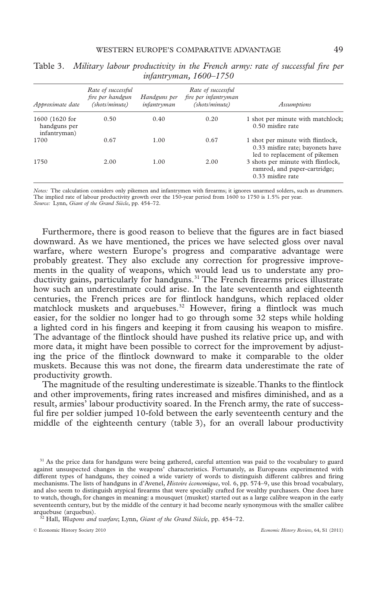| Approximate date                               | Rate of successful<br>fire per handgun<br>(shots/minute) | Handguns per<br>infantryman | Rate of successful<br>fire per infantryman<br>(shots/minute) | <i>Assumptions</i>                                                                                     |
|------------------------------------------------|----------------------------------------------------------|-----------------------------|--------------------------------------------------------------|--------------------------------------------------------------------------------------------------------|
| 1600 (1620 for<br>handguns per<br>infantryman) | 0.50                                                     | 0.40                        | 0.20                                                         | 1 shot per minute with matchlock;<br>$0.50$ misfire rate                                               |
| 1700                                           | 0.67                                                     | 1.00                        | 0.67                                                         | 1 shot per minute with flintlock,<br>0.33 misfire rate; bayonets have<br>led to replacement of pikemen |
| 1750                                           | 2.00                                                     | 1.00                        | 2.00                                                         | 3 shots per minute with flintlock,<br>ramrod, and paper-cartridge;<br>$0.33$ misfire rate              |

| Table 3. Military labour productivity in the French army: rate of successful fire per |                               |  |  |  |  |
|---------------------------------------------------------------------------------------|-------------------------------|--|--|--|--|
|                                                                                       | <i>infantryman,</i> 1600–1750 |  |  |  |  |

*Notes:* The calculation considers only pikemen and infantrymen with firearms; it ignores unarmed solders, such as drummers. The implied rate of labour productivity growth over the 150-year period from 1600 to 1750 is 1.5% per year. *Source:* Lynn, *Giant of the Grand Siècle*, pp. 454–72.

Furthermore, there is good reason to believe that the figures are in fact biased downward. As we have mentioned, the prices we have selected gloss over naval warfare, where western Europe's progress and comparative advantage were probably greatest. They also exclude any correction for progressive improvements in the quality of weapons, which would lead us to understate any productivity gains, particularly for handguns.<sup>31</sup> The French firearms prices illustrate how such an underestimate could arise. In the late seventeenth and eighteenth centuries, the French prices are for flintlock handguns, which replaced older matchlock muskets and arquebuses.<sup>32</sup> However, firing a flintlock was much easier, for the soldier no longer had to go through some 32 steps while holding a lighted cord in his fingers and keeping it from causing his weapon to misfire. The advantage of the flintlock should have pushed its relative price up, and with more data, it might have been possible to correct for the improvement by adjusting the price of the flintlock downward to make it comparable to the older muskets. Because this was not done, the firearm data underestimate the rate of productivity growth.

The magnitude of the resulting underestimate is sizeable.Thanks to the flintlock and other improvements, firing rates increased and misfires diminished, and as a result, armies' labour productivity soared. In the French army, the rate of successful fire per soldier jumped 10-fold between the early seventeenth century and the middle of the eighteenth century (table 3), for an overall labour productivity

<sup>31</sup> As the price data for handguns were being gathered, careful attention was paid to the vocabulary to guard against unsuspected changes in the weapons' characteristics. Fortunately, as Europeans experimented with different types of handguns, they coined a wide variety of words to distinguish different calibres and firing mechanisms. The lists of handguns in d'Avenel, *Histoire économique*, vol. 6, pp. 574–9, use this broad vocabulary, and also seem to distinguish atypical firearms that were specially crafted for wealthy purchasers. One does have to watch, though, for changes in meaning: a mousquet (musket) started out as a large calibre weapon in the early seventeenth century, but by the middle of the century it had become nearly synonymous with the smaller calibre arquebuse (arquebus).

<sup>32</sup> Hall, *Weapons and warfare*; Lynn, *Giant of the Grand Siècle*, pp. 454–72.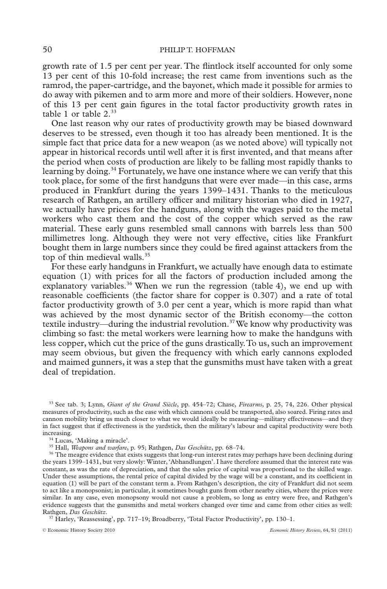#### 50 PHILIP T. HOFFMAN

growth rate of 1.5 per cent per year. The flintlock itself accounted for only some 13 per cent of this 10-fold increase; the rest came from inventions such as the ramrod, the paper-cartridge, and the bayonet, which made it possible for armies to do away with pikemen and to arm more and more of their soldiers. However, none of this 13 per cent gain figures in the total factor productivity growth rates in table 1 or table  $2^{33}$ 

One last reason why our rates of productivity growth may be biased downward deserves to be stressed, even though it too has already been mentioned. It is the simple fact that price data for a new weapon (as we noted above) will typically not appear in historical records until well after it is first invented, and that means after the period when costs of production are likely to be falling most rapidly thanks to learning by doing.<sup>34</sup> Fortunately, we have one instance where we can verify that this took place, for some of the first handguns that were ever made—in this case, arms produced in Frankfurt during the years 1399–1431. Thanks to the meticulous research of Rathgen, an artillery officer and military historian who died in 1927, we actually have prices for the handguns, along with the wages paid to the metal workers who cast them and the cost of the copper which served as the raw material. These early guns resembled small cannons with barrels less than 500 millimetres long. Although they were not very effective, cities like Frankfurt bought them in large numbers since they could be fired against attackers from the top of thin medieval walls.<sup>35</sup>

For these early handguns in Frankfurt, we actually have enough data to estimate equation (1) with prices for all the factors of production included among the explanatory variables.<sup>36</sup> When we run the regression (table 4), we end up with reasonable coefficients (the factor share for copper is 0.307) and a rate of total factor productivity growth of 3.0 per cent a year, which is more rapid than what was achieved by the most dynamic sector of the British economy—the cotton textile industry—during the industrial revolution. $37$ We know why productivity was climbing so fast: the metal workers were learning how to make the handguns with less copper, which cut the price of the guns drastically.To us, such an improvement may seem obvious, but given the frequency with which early cannons exploded and maimed gunners, it was a step that the gunsmiths must have taken with a great deal of trepidation.

<sup>36</sup> The meagre evidence that exists suggests that long-run interest rates may perhaps have been declining during the years 1399–1431, but very slowly: Winter, 'Abhandlungen'. I have therefore assumed that the interest rate was constant, as was the rate of depreciation, and that the sales price of capital was proportional to the skilled wage. Under these assumptions, the rental price of capital divided by the wage will be a constant, and its coefficient in equation (1) will be part of the constant term a. From Rathgen's description, the city of Frankfurt did not seem to act like a monopsonist; in particular, it sometimes bought guns from other nearby cities, where the prices were similar. In any case, even monopsony would not cause a problem, so long as entry were free, and Rathgen's evidence suggests that the gunsmiths and metal workers changed over time and came from other cities as well: Rathgen, *Das Geschütz*.

<sup>37</sup> Harley, 'Reassessing', pp. 717–19; Broadberry, 'Total Factor Productivity', pp. 130–1.

<sup>33</sup> See tab. 3; Lynn, *Giant of the Grand Siècle*, pp. 454–72; Chase, *Firearms*, p. 25, 74, 226. Other physical measures of productivity, such as the ease with which cannons could be transported, also soared. Firing rates and cannon mobility bring us much closer to what we would ideally be measuring—military effectiveness—and they in fact suggest that if effectiveness is the yardstick, then the military's labour and capital productivity were both increasing.

<sup>&</sup>lt;sup>34</sup> Lucas, 'Making a miracle'.

<sup>35</sup> Hall, *Weapons and warfare*, p. 95; Rathgen, *Das Geschütz*, pp. 68–74.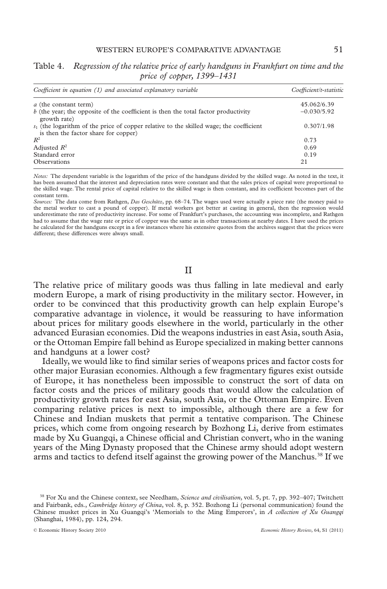Table 4. *Regression of the relative price of early handguns in Frankfurt on time and the price of copper, 1399–1431*

| Coefficient in equation (1) and associated explanatory variable                                                                   | Coefficient/t-statistic |
|-----------------------------------------------------------------------------------------------------------------------------------|-------------------------|
| <i>a</i> (the constant term)                                                                                                      | 45.062/6.39             |
| $\hat{b}$ (the year; the opposite of the coefficient is then the total factor productivity<br>growth rate)                        | $-0.030/5.92$           |
| $s_1$ (the logarithm of the price of copper relative to the skilled wage; the coefficient<br>is then the factor share for copper) | 0.307/1.98              |
| $R^2$                                                                                                                             | 0.73                    |
| Adjusted $R^2$                                                                                                                    | 0.69                    |
| Standard error                                                                                                                    | 0.19                    |
| <b>Observations</b>                                                                                                               | 21                      |

*Notes:* The dependent variable is the logarithm of the price of the handguns divided by the skilled wage. As noted in the text, it has been assumed that the interest and depreciation rates were constant and that the sales prices of capital were proportional to the skilled wage. The rental price of capital relative to the skilled wage is then constant, and its coefficient becomes part of the constant term.

*Sources:* The data come from Rathgen, *Das Geschütz*, pp. 68–74. The wages used were actually a piece rate (the money paid to the metal worker to cast a pound of copper). If metal workers got better at casting in general, then the regression would underestimate the rate of productivity increase. For some of Frankfurt's purchases, the accounting was incomplete, and Rathgen had to assume that the wage rate or price of copper was the same as in other transactions at nearby dates. I have used the prices he calculated for the handguns except in a few instances where his extensive quotes from the archives suggest that the prices were different; these differences were always small.

## II

The relative price of military goods was thus falling in late medieval and early modern Europe, a mark of rising productivity in the military sector. However, in order to be convinced that this productivity growth can help explain Europe's comparative advantage in violence, it would be reassuring to have information about prices for military goods elsewhere in the world, particularly in the other advanced Eurasian economies. Did the weapons industries in east Asia, south Asia, or the Ottoman Empire fall behind as Europe specialized in making better cannons and handguns at a lower cost?

Ideally, we would like to find similar series of weapons prices and factor costs for other major Eurasian economies. Although a few fragmentary figures exist outside of Europe, it has nonetheless been impossible to construct the sort of data on factor costs and the prices of military goods that would allow the calculation of productivity growth rates for east Asia, south Asia, or the Ottoman Empire. Even comparing relative prices is next to impossible, although there are a few for Chinese and Indian muskets that permit a tentative comparison. The Chinese prices, which come from ongoing research by Bozhong Li, derive from estimates made by Xu Guangqi, a Chinese official and Christian convert, who in the waning years of the Ming Dynasty proposed that the Chinese army should adopt western arms and tactics to defend itself against the growing power of the Manchus.<sup>38</sup> If we

<sup>38</sup> For Xu and the Chinese context, see Needham, *Science and civilisation*, vol. 5, pt. 7, pp. 392–407; Twitchett and Fairbank, eds., *Cambridge history of China*, vol. 8, p. 352. Bozhong Li (personal communication) found the Chinese musket prices in Xu Guangqi's 'Memorials to the Ming Emperors', in *A collection of Xu Guangqi* (Shanghai, 1984), pp. 124, 294.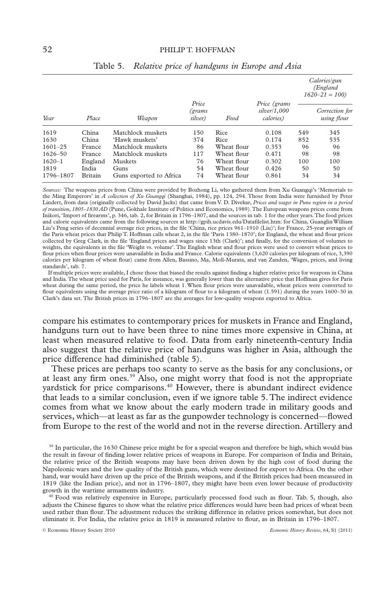|             |         |                         |                            |             |                                           |     | <i>Calories/gun</i><br>(England<br>$1620 - 21 = 100$ |
|-------------|---------|-------------------------|----------------------------|-------------|-------------------------------------------|-----|------------------------------------------------------|
| Year        | Place   | Weapon                  | Price<br>(grams<br>silver) | Food        | Price (grams<br>silver/1,000<br>calories) |     | Correction for<br><i>using flour</i>                 |
| 1619        | China   | Matchlock muskets       | 150                        | Rice        | 0.108                                     | 549 | 345                                                  |
| 1630        | China   | 'Hawk muskets'          | 374                        | Rice        | 0.174                                     | 852 | 535                                                  |
| $1601 - 25$ | France  | Matchlock muskets       | 86                         | Wheat flour | 0.353                                     | 96  | 96                                                   |
| $1626 - 50$ | France  | Matchlock muskets       | 117                        | Wheat flour | 0.471                                     | 98  | 98                                                   |
| $1620 - 1$  | England | Muskets                 | 76                         | Wheat flour | 0.302                                     | 100 | 100                                                  |
| 1819        | India   | Guns                    | 54                         | Wheat flour | 0.426                                     | 50  | 50                                                   |
| 1796-1807   | Britain | Guns exported to Africa | 74                         | Wheat flour | 0.861                                     | 34  | 34                                                   |

Table 5. *Relative price of handguns in Europe and Asia*

*Sources:* The weapons prices from China were provided by Bozhong Li, who gathered them from Xu Guangqi's 'Memorials to the Ming Emperors' in *A collection of Xu Guangqi* (Shanghai, 1984), pp. 124, 294. Those from India were furnished by Peter Lindert, from data (originally collected by David Jacks) that came from V. D. Divekar, *Prices and wages in Pune region in a period of transition, 1805–1830 AD* (Pune, Gokhale Institute of Politics and Economics, 1989).The European weapons prices come from Inikori, 'Import of firearms', p. 346, tab. 2, for Britain in 1796–1807, and the sources in tab. 1 for the other years.The food prices and calorie equivalents came from the following sources at http://gpih.ucdavis.edu/Datafilelist.htm: for China, GuanglinWilliam Liu's Peng series of decennial average rice prices, in the file 'China, rice prices 961–1910 (Liu)'; for France, 25-year averages of the Paris wheat prices that Philip T. Hoffman calls wheat 2, in the file 'Paris 1380–1870'; for England, the wheat and flour prices collected by Greg Clark, in the file 'England prices and wages since 13th (Clark)'; and finally, for the conversion of volumes to weights, the equivalents in the file 'Weight vs. volume'. The English wheat and flour prices were used to convert wheat prices to flour prices when flour prices were unavailable in India and France. Calorie equivalents (3,620 calories per kilogram of rice, 3,390 calories per kilogram of wheat flour) came from Allen, Bassino, Ma, Moll-Murata, and van Zanden, 'Wages, prices, and living standards', tab. 7.

If multiple prices were available, I chose those that biased the results against finding a higher relative price for weapons in China and India. The wheat price used for Paris, for instance, was generally lower than the alternative price that Hoffman gives for Paris<br>wheat during the same period, the price he labels wheat 1. When flour prices were unavail flour equivalents using the average price ratio of a kilogram of flour to a kilogram of wheat (1.591) during the years 1600–30 in Clark's data set. The British prices in 1796–1807 are the averages for low-quality weapons exported to Africa.

compare his estimates to contemporary prices for muskets in France and England, handguns turn out to have been three to nine times more expensive in China, at least when measured relative to food. Data from early nineteenth-century India also suggest that the relative price of handguns was higher in Asia, although the price difference had diminished (table 5).

These prices are perhaps too scanty to serve as the basis for any conclusions, or at least any firm ones.39 Also, one might worry that food is not the appropriate yardstick for price comparisons.<sup>40</sup> However, there is abundant indirect evidence that leads to a similar conclusion, even if we ignore table 5. The indirect evidence comes from what we know about the early modern trade in military goods and services, which—at least as far as the gunpowder technology is concerned—flowed from Europe to the rest of the world and not in the reverse direction. Artillery and

<sup>39</sup> In particular, the 1630 Chinese price might be for a special weapon and therefore be high, which would bias the result in favour of finding lower relative prices of weapons in Europe. For comparison of India and Britain, the relative price of the British weapons may have been driven down by the high cost of food during the Napoleonic wars and the low quality of the British guns, which were destined for export to Africa. On the other hand, war would have driven up the price of the British weapons, and if the British prices had been measured in 1819 (like the Indian price), and not in 1796–1807, they might have been even lower because of productivity growth in the wartime armaments industry.

<sup>40</sup> Food was relatively expensive in Europe, particularly processed food such as flour. Tab. 5, though, also adjusts the Chinese figures to show what the relative price differences would have been had prices of wheat been used rather than flour. The adjustment reduces the striking difference in relative prices somewhat, but does not eliminate it. For India, the relative price in 1819 is measured relative to flour, as in Britain in 1796–1807.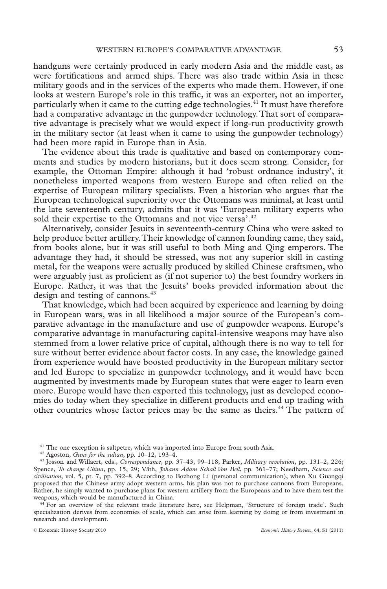handguns were certainly produced in early modern Asia and the middle east, as were fortifications and armed ships. There was also trade within Asia in these military goods and in the services of the experts who made them. However, if one looks at western Europe's role in this traffic, it was an exporter, not an importer, particularly when it came to the cutting edge technologies.41 It must have therefore had a comparative advantage in the gunpowder technology.That sort of comparative advantage is precisely what we would expect if long-run productivity growth in the military sector (at least when it came to using the gunpowder technology) had been more rapid in Europe than in Asia.

The evidence about this trade is qualitative and based on contemporary comments and studies by modern historians, but it does seem strong. Consider, for example, the Ottoman Empire: although it had 'robust ordnance industry', it nonetheless imported weapons from western Europe and often relied on the expertise of European military specialists. Even a historian who argues that the European technological superiority over the Ottomans was minimal, at least until the late seventeenth century, admits that it was 'European military experts who sold their expertise to the Ottomans and not vice versa<sup>'.42</sup>

Alternatively, consider Jesuits in seventeenth-century China who were asked to help produce better artillery.Their knowledge of cannon founding came, they said, from books alone, but it was still useful to both Ming and Qing emperors. The advantage they had, it should be stressed, was not any superior skill in casting metal, for the weapons were actually produced by skilled Chinese craftsmen, who were arguably just as proficient as (if not superior to) the best foundry workers in Europe. Rather, it was that the Jesuits' books provided information about the design and testing of cannons.<sup>43</sup>

That knowledge, which had been acquired by experience and learning by doing in European wars, was in all likelihood a major source of the European's comparative advantage in the manufacture and use of gunpowder weapons. Europe's comparative advantage in manufacturing capital-intensive weapons may have also stemmed from a lower relative price of capital, although there is no way to tell for sure without better evidence about factor costs. In any case, the knowledge gained from experience would have boosted productivity in the European military sector and led Europe to specialize in gunpowder technology, and it would have been augmented by investments made by European states that were eager to learn even more. Europe would have then exported this technology, just as developed economies do today when they specialize in different products and end up trading with other countries whose factor prices may be the same as theirs.<sup>44</sup> The pattern of

<sup>44</sup> For an overview of the relevant trade literature here, see Helpman, 'Structure of foreign trade'. Such specialization derives from economies of scale, which can arise from learning by doing or from investment in research and development.

<sup>&</sup>lt;sup>41</sup> The one exception is saltpetre, which was imported into Europe from south Asia.

<sup>42</sup> Agoston, *Guns for the sultan*, pp. 10–12, 193–4.

<sup>43</sup> Josson and Willaert, eds., *Correspondance*, pp. 37–43, 99–118; Parker, *Military revolution*, pp. 131–2, 226; Spence, *To change China*, pp. 15, 29; Väth, *Johann Adam Schall Von Bell*, pp. 361–77; Needham, *Science and civilisation*, vol. 5, pt. 7, pp. 392–8. According to Bozhong Li (personal communication), when Xu Guangqi proposed that the Chinese army adopt western arms, his plan was not to purchase cannons from Europeans. Rather, he simply wanted to purchase plans for western artillery from the Europeans and to have them test the weapons, which would be manufactured in China.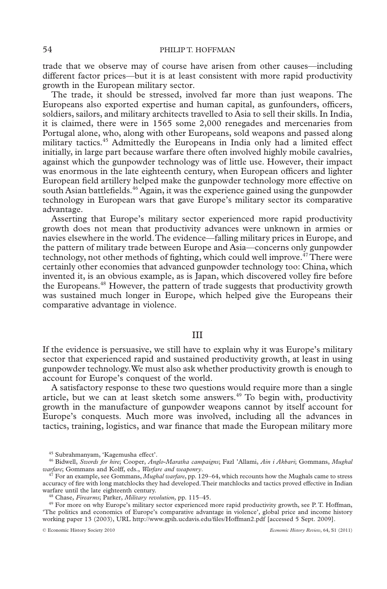trade that we observe may of course have arisen from other causes—including different factor prices—but it is at least consistent with more rapid productivity growth in the European military sector.

The trade, it should be stressed, involved far more than just weapons. The Europeans also exported expertise and human capital, as gunfounders, officers, soldiers, sailors, and military architects travelled to Asia to sell their skills. In India, it is claimed, there were in 1565 some 2,000 renegades and mercenaries from Portugal alone, who, along with other Europeans, sold weapons and passed along military tactics.45 Admittedly the Europeans in India only had a limited effect initially, in large part because warfare there often involved highly mobile cavalries, against which the gunpowder technology was of little use. However, their impact was enormous in the late eighteenth century, when European officers and lighter European field artillery helped make the gunpowder technology more effective on south Asian battlefields.<sup>46</sup> Again, it was the experience gained using the gunpowder technology in European wars that gave Europe's military sector its comparative advantage.

Asserting that Europe's military sector experienced more rapid productivity growth does not mean that productivity advances were unknown in armies or navies elsewhere in the world.The evidence—falling military prices in Europe, and the pattern of military trade between Europe and Asia—concerns only gunpowder technology, not other methods of fighting, which could well improve.<sup>47</sup> There were certainly other economies that advanced gunpowder technology too: China, which invented it, is an obvious example, as is Japan, which discovered volley fire before the Europeans.<sup>48</sup> However, the pattern of trade suggests that productivity growth was sustained much longer in Europe, which helped give the Europeans their comparative advantage in violence.

#### III

If the evidence is persuasive, we still have to explain why it was Europe's military sector that experienced rapid and sustained productivity growth, at least in using gunpowder technology.We must also ask whether productivity growth is enough to account for Europe's conquest of the world.

A satisfactory response to these two questions would require more than a single article, but we can at least sketch some answers.<sup>49</sup> To begin with, productivity growth in the manufacture of gunpowder weapons cannot by itself account for Europe's conquests. Much more was involved, including all the advances in tactics, training, logistics, and war finance that made the European military more

<sup>45</sup> Subrahmanyam, 'Kagemusha effect'.

<sup>46</sup> Bidwell, *Swords for hire*; Cooper, *Anglo-Maratha campaigns*; Fazl 'Allami, *Ain i Akbari*; Gommans, *Mughal warfare*; Gommans and Kolff, eds., *Warfare and weaponry*.

<sup>47</sup> For an example, see Gommans, *Mughal warfare*, pp. 129–64, which recounts how the Mughals came to stress accuracy of fire with long matchlocks they had developed.Their matchlocks and tactics proved effective in Indian warfare until the late eighteenth century.

<sup>48</sup> Chase, *Firearms*; Parker, *Military revolution*, pp. 115–45.

<sup>&</sup>lt;sup>49</sup> For more on why Europe's military sector experienced more rapid productivity growth, see P. T. Hoffman, 'The politics and economics of Europe's comparative advantage in violence', global price and income history working paper 13 (2003), URL http://www.gpih.ucdavis.edu/files/Hoffman2.pdf [accessed 5 Sept. 2009].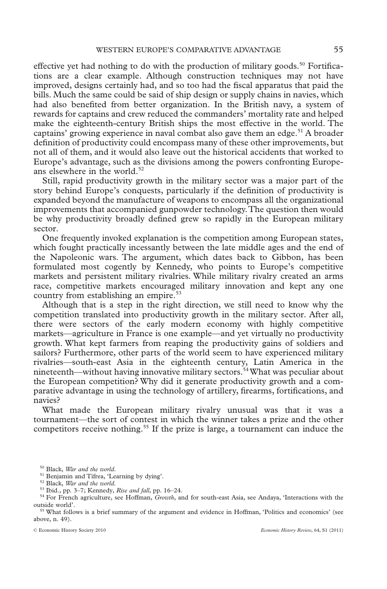effective yet had nothing to do with the production of military goods.<sup>50</sup> Fortifications are a clear example. Although construction techniques may not have improved, designs certainly had, and so too had the fiscal apparatus that paid the bills. Much the same could be said of ship design or supply chains in navies, which had also benefited from better organization. In the British navy, a system of rewards for captains and crew reduced the commanders' mortality rate and helped make the eighteenth-century British ships the most effective in the world. The captains' growing experience in naval combat also gave them an edge.<sup>51</sup> A broader definition of productivity could encompass many of these other improvements, but not all of them, and it would also leave out the historical accidents that worked to Europe's advantage, such as the divisions among the powers confronting Europeans elsewhere in the world.<sup>52</sup>

Still, rapid productivity growth in the military sector was a major part of the story behind Europe's conquests, particularly if the definition of productivity is expanded beyond the manufacture of weapons to encompass all the organizational improvements that accompanied gunpowder technology.The question then would be why productivity broadly defined grew so rapidly in the European military sector.

One frequently invoked explanation is the competition among European states, which fought practically incessantly between the late middle ages and the end of the Napoleonic wars. The argument, which dates back to Gibbon, has been formulated most cogently by Kennedy, who points to Europe's competitive markets and persistent military rivalries. While military rivalry created an arms race, competitive markets encouraged military innovation and kept any one country from establishing an empire.<sup>53</sup>

Although that is a step in the right direction, we still need to know why the competition translated into productivity growth in the military sector. After all, there were sectors of the early modern economy with highly competitive markets—agriculture in France is one example—and yet virtually no productivity growth. What kept farmers from reaping the productivity gains of soldiers and sailors? Furthermore, other parts of the world seem to have experienced military rivalries—south-east Asia in the eighteenth century, Latin America in the nineteenth—without having innovative military sectors.54What was peculiar about the European competition? Why did it generate productivity growth and a comparative advantage in using the technology of artillery, firearms, fortifications, and navies?

What made the European military rivalry unusual was that it was a tournament—the sort of contest in which the winner takes a prize and the other competitors receive nothing.<sup>55</sup> If the prize is large, a tournament can induce the

<sup>50</sup> Black, *War and the world*.

<sup>51</sup> Benjamin and Tifrea, 'Learning by dying'.

<sup>52</sup> Black, *War and the world*.

<sup>53</sup> Ibid., pp. 3–7; Kennedy, *Rise and fall*, pp. 16–24.

<sup>54</sup> For French agriculture, see Hoffman, *Growth*, and for south-east Asia, see Andaya, 'Interactions with the outside world'.

<sup>55</sup> What follows is a brief summary of the argument and evidence in Hoffman, 'Politics and economics' (see above, n. 49).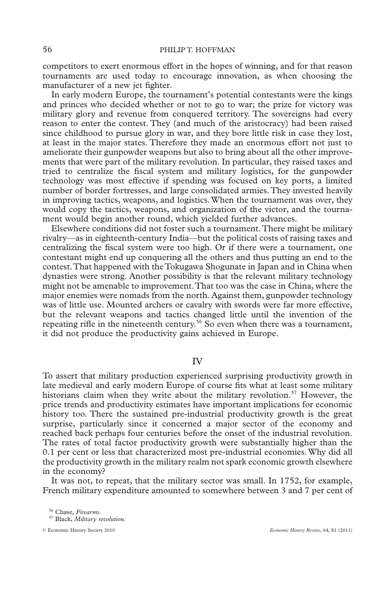competitors to exert enormous effort in the hopes of winning, and for that reason tournaments are used today to encourage innovation, as when choosing the manufacturer of a new jet fighter.

In early modern Europe, the tournament's potential contestants were the kings and princes who decided whether or not to go to war; the prize for victory was military glory and revenue from conquered territory. The sovereigns had every reason to enter the contest. They (and much of the aristocracy) had been raised since childhood to pursue glory in war, and they bore little risk in case they lost, at least in the major states. Therefore they made an enormous effort not just to ameliorate their gunpowder weapons but also to bring about all the other improvements that were part of the military revolution. In particular, they raised taxes and tried to centralize the fiscal system and military logistics, for the gunpowder technology was most effective if spending was focused on key ports, a limited number of border fortresses, and large consolidated armies. They invested heavily in improving tactics, weapons, and logistics.When the tournament was over, they would copy the tactics, weapons, and organization of the victor, and the tournament would begin another round, which yielded further advances.

Elsewhere conditions did not foster such a tournament.There might be military rivalry—as in eighteenth-century India—but the political costs of raising taxes and centralizing the fiscal system were too high. Or if there were a tournament, one contestant might end up conquering all the others and thus putting an end to the contest.That happened with theTokugawa Shogunate in Japan and in China when dynasties were strong. Another possibility is that the relevant military technology might not be amenable to improvement.That too was the case in China, where the major enemies were nomads from the north. Against them, gunpowder technology was of little use. Mounted archers or cavalry with swords were far more effective, but the relevant weapons and tactics changed little until the invention of the repeating rifle in the nineteenth century.<sup>56</sup> So even when there was a tournament, it did not produce the productivity gains achieved in Europe.

### IV

To assert that military production experienced surprising productivity growth in late medieval and early modern Europe of course fits what at least some military historians claim when they write about the military revolution.<sup>57</sup> However, the price trends and productivity estimates have important implications for economic history too. There the sustained pre-industrial productivity growth is the great surprise, particularly since it concerned a major sector of the economy and reached back perhaps four centuries before the onset of the industrial revolution. The rates of total factor productivity growth were substantially higher than the 0.1 per cent or less that characterized most pre-industrial economies.Why did all the productivity growth in the military realm not spark economic growth elsewhere in the economy?

It was not, to repeat, that the military sector was small. In 1752, for example, French military expenditure amounted to somewhere between 3 and 7 per cent of

<sup>56</sup> Chase, *Firearms*.

<sup>57</sup> Black, *Military revolution*.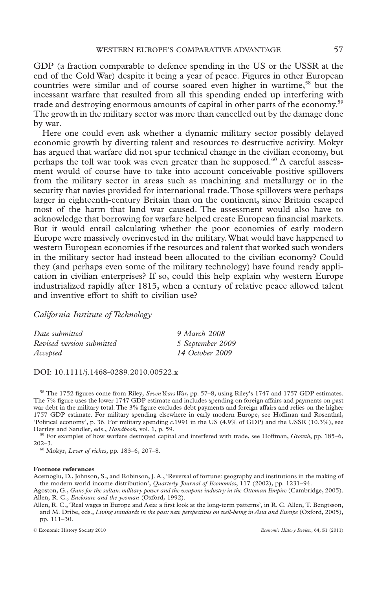GDP (a fraction comparable to defence spending in the US or the USSR at the end of the Cold War) despite it being a year of peace. Figures in other European countries were similar and of course soared even higher in wartime,<sup>58</sup> but the incessant warfare that resulted from all this spending ended up interfering with trade and destroying enormous amounts of capital in other parts of the economy.<sup>59</sup> The growth in the military sector was more than cancelled out by the damage done by war.

Here one could even ask whether a dynamic military sector possibly delayed economic growth by diverting talent and resources to destructive activity. Mokyr has argued that warfare did not spur technical change in the civilian economy, but perhaps the toll war took was even greater than he supposed.<sup>60</sup> A careful assessment would of course have to take into account conceivable positive spillovers from the military sector in areas such as machining and metallurgy or in the security that navies provided for international trade. Those spillovers were perhaps larger in eighteenth-century Britain than on the continent, since Britain escaped most of the harm that land war caused. The assessment would also have to acknowledge that borrowing for warfare helped create European financial markets. But it would entail calculating whether the poor economies of early modern Europe were massively overinvested in the military.What would have happened to western European economies if the resources and talent that worked such wonders in the military sector had instead been allocated to the civilian economy? Could they (and perhaps even some of the military technology) have found ready application in civilian enterprises? If so, could this help explain why western Europe industrialized rapidly after 1815, when a century of relative peace allowed talent and inventive effort to shift to civilian use?

#### *California Institute of Technology*

| Date submitted            | 9 March 2008     |
|---------------------------|------------------|
| Revised version submitted | 5 September 2009 |
| Accepted                  | 14 October 2009  |

#### DOI: 10.1111/j.1468-0289.2010.00522.x

<sup>58</sup> The 1752 figures come from Riley, *SevenYearsWar*, pp. 57–8, using Riley's 1747 and 1757 GDP estimates. The 7% figure uses the lower 1747 GDP estimate and includes spending on foreign affairs and payments on past war debt in the military total. The 3% figure excludes debt payments and foreign affairs and relies on the higher 1757 GDP estimate. For military spending elsewhere in early modern Europe, see Hoffman and Rosenthal, 'Political economy', p. 36. For military spending *c*.1991 in the US (4.9% of GDP) and the USSR (10.3%), see Hartley and Sandler, eds., *Handbook*, vol. 1, p. 59.

<sup>59</sup> For examples of how warfare destroyed capital and interfered with trade, see Hoffman, *Growth*, pp. 185–6, 202–3.

<sup>60</sup> Mokyr, *Lever of riches*, pp. 183–6, 207–8.

#### **Footnote references**

Acemoglu, D., Johnson, S., and Robinson, J. A., 'Reversal of fortune: geography and institutions in the making of the modern world income distribution', *Quarterly Journal of Economics*, 117 (2002), pp. 1231–94.

Agoston, G., *Guns for the sultan: military power and the weapons industry in the Ottoman Empire* (Cambridge, 2005). Allen, R. C., *Enclosure and the yeoman* (Oxford, 1992).

Allen, R. C., 'Real wages in Europe and Asia: a first look at the long-term patterns', in R. C. Allen, T. Bengtsson, and M. Dribe, eds., *Living standards in the past: new perspectives on well-being in Asia and Europe* (Oxford, 2005), pp. 111–30.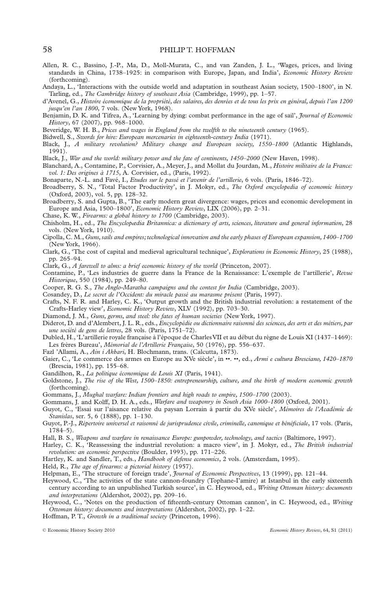- Allen, R. C., Bassino, J.-P., Ma, D., Moll-Murata, C., and van Zanden, J. L., 'Wages, prices, and living standards in China, 1738–1925: in comparison with Europe, Japan, and India', *Economic History Review* (forthcoming).
- Andaya, L., 'Interactions with the outside world and adaptation in southeast Asian society, 1500–1800', in N. Tarling, ed., *The Cambridge history of southeast Asia* (Cambridge, 1999), pp. 1–57.
- d'Avenel, G., *Histoire économique de la propriété, des salaires, des denrées et de tous les prix en général, depuis l'an 1200 jusqu'en l'an 1800*, 7 vols. (New York, 1968).
- Benjamin, D. K. and Tifrea, A., 'Learning by dying: combat performance in the age of sail', *Journal of Economic History*, 67 (2007), pp. 968–1000.
- Beveridge, W. H. B., *Prices and wages in England from the twelfth to the nineteenth century* (1965).
- Bidwell, S., *Swords for hire: European mercenaries in eighteenth-century India* (1971).
- Black, J., *A military revolution? Military change and European society, 1550–1800* (Atlantic Highlands, 1991).
- Black, J., *War and the world: military power and the fate of continents, 1450–2000* (New Haven, 1998).
- Blanchard, A., Contamine, P., Corvisier, A., Meyer, J., and Mollat du Jourdan, M., *Histoire militaire de la France: vol. 1: Des origines à 1715*, A. Corvisier, ed., (Paris, 1992).

Bonaparte, N.-L. and Favé, I., *Etudes sur le passé et l'avenir de l'artillerie*, 6 vols. (Paris, 1846–72).

- Broadberry, S. N., 'Total Factor Productivity', in J. Mokyr, ed., *The Oxford encyclopedia of economic history* (Oxford, 2003), vol. 5, pp. 128–32.
- Broadberry, S. and Gupta, B., 'The early modern great divergence: wages, prices and economic development in Europe and Asia, 1500–1800', *Economic History Review*, LIX (2006), pp. 2–31.
- Chase, K. W., *Firearms: a global history to 1700* (Cambridge, 2003).
- Chisholm, H., ed., *The Encyclopædia Britannica: a dictionary of arts, sciences, literature and general information*, 28 vols. (New York, 1910).
- Cipolla, C. M., *Guns,sails and empires;technological innovation and the early phases of European expansion,1400–1700* (New York, 1966).
- Clark, G., 'The cost of capital and medieval agricultural technique', *Explorations in Economic History*, 25 (1988), pp. 265–94.
- Clark, G., *A farewell to alms: a brief economic history of the world* (Princeton, 2007).
- Contamine, P., 'Les industries de guerre dans la France de la Renaissance: L'exemple de l'artillerie', *Revue Historique*, 550 (1984), pp. 249–80.
- Cooper, R. G. S., *The Anglo-Maratha campaigns and the contest for India* (Cambridge, 2003).
- Cosandey, D., *Le secret de l'Occident: du miracle passé au marasme présent* (Paris, 1997).
- Crafts, N. F. R. and Harley, C. K., 'Output growth and the British industrial revolution: a restatement of the Crafts-Harley view', *Economic History Review*, XLV (1992), pp. 703–30.
- Diamond, J. M., *Guns, germs, and steel: the fates of human societies* (New York, 1997).
- Diderot, D. and d'Alembert, J. L. R., eds., *Encyclopédie ou dictionnaire raisonné des sciences, des arts et des métiers, par une société de gens de lettres*, 28 vols. (Paris, 1751–72).
- Dubled, H.,'L'artillerie royale française à l'époque de CharlesVII et au début du règne de Louis XI (1437–1469): Les frères Bureau', *Mémorial de l'Artillerie Française*, 50 (1976), pp. 556–637.
- Fazl 'Allami, A., *Ain i Akbari*, H. Blochmann, trans. (Calcutta, 1873).
- Gaier, C., 'Le commerce des armes en Europe au XVe siècle', in ••. ••, ed., *Armi e cultura Bresciano, 1420–1870* (Brescia, 1981), pp. 155–68.
- Gandilhon, R., *La politique économique de Louis XI* (Paris, 1941).
- Goldstone, J., *The rise of the West, 1500–1850: entrepreneurship, culture, and the birth of modern economic growth* (forthcoming).
- Gommans, J., *Mughal warfare: Indian frontiers and high roads to empire, 1500–1700* (2003).
- Gommans, J. and Kolff, D. H. A., eds., *Warfare and weaponry in South Asia 1000–1800* (Oxford, 2001).
- Guyot, C., 'Essai sur l'aisance relative du paysan Lorrain à partir du XVe siècle', *Mémoires de l'Académie de Stanislas*, ser. 5, 6 (1888), pp. 1–130.
- Guyot, P.-J., *Répertoire universel et raisonné de jurisprudence civile, criminelle, canonique et bénéficiale*, 17 vols. (Paris, 1784–5).
- Hall, B. S., *Weapons and warfare in renaissance Europe: gunpowder, technology, and tactics* (Baltimore, 1997).
- Harley, C. K., 'Reassessing the industrial revolution: a macro view', in J. Mokyr, ed., *The British industrial revolution: an economic perspective* (Boulder, 1993), pp. 171–226.
- Hartley, K. and Sandler, T., eds., *Handbook of defense economics*, 2 vols. (Amsterdam, 1995).
- Held, R., *The age of firearms: a pictorial history* (1957).
- Helpman, E., 'The structure of foreign trade', *Journal of Economic Perspectives*, 13 (1999), pp. 121–44.
- Heywood, C., 'The activities of the state cannon-foundry (Tophane-I'amire) at Istanbul in the early sixteenth century according to an unpublished Turkish source', in C. Heywood, ed., *Writing Ottoman history: documents and interpretations* (Aldershot, 2002), pp. 209–16.
- Heywood, C., 'Notes on the production of fifteenth-century Ottoman cannon', in C. Heywood, ed., *Writing Ottoman history: documents and interpretations* (Aldershot, 2002), pp. 1–22.
- Hoffman, P. T., *Growth in a traditional society* (Princeton, 1996).